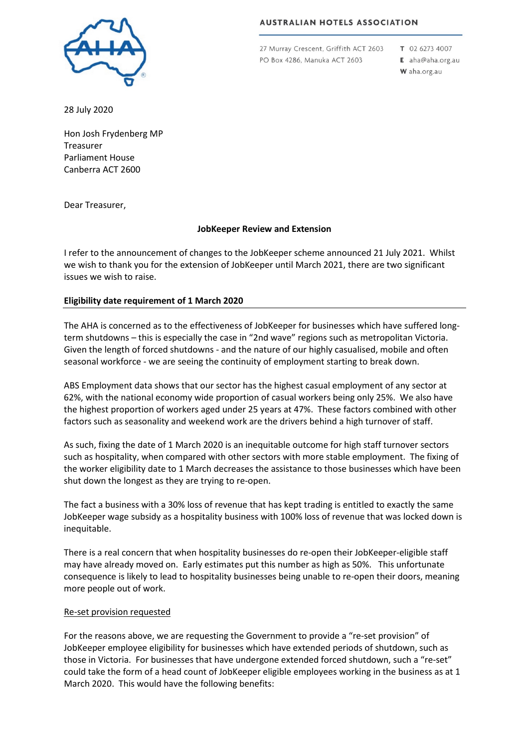

**AUSTRALIAN HOTELS ASSOCIATION** 

27 Murray Crescent, Griffith ACT 2603 PO Box 4286, Manuka ACT 2603

T 02 6273 4007 E aha@aha.org.au

W aha.org.au

28 July 2020

Hon Josh Frydenberg MP Treasurer Parliament House Canberra ACT 2600

Dear Treasurer,

## **JobKeeper Review and Extension**

I refer to the announcement of changes to the JobKeeper scheme announced 21 July 2021. Whilst we wish to thank you for the extension of JobKeeper until March 2021, there are two significant issues we wish to raise.

# **Eligibility date requirement of 1 March 2020**

The AHA is concerned as to the effectiveness of JobKeeper for businesses which have suffered longterm shutdowns – this is especially the case in "2nd wave" regions such as metropolitan Victoria. Given the length of forced shutdowns - and the nature of our highly casualised, mobile and often seasonal workforce - we are seeing the continuity of employment starting to break down.

ABS Employment data shows that our sector has the highest casual employment of any sector at 62%, with the national economy wide proportion of casual workers being only 25%. We also have the highest proportion of workers aged under 25 years at 47%. These factors combined with other factors such as seasonality and weekend work are the drivers behind a high turnover of staff.

As such, fixing the date of 1 March 2020 is an inequitable outcome for high staff turnover sectors such as hospitality, when compared with other sectors with more stable employment. The fixing of the worker eligibility date to 1 March decreases the assistance to those businesses which have been shut down the longest as they are trying to re-open.

The fact a business with a 30% loss of revenue that has kept trading is entitled to exactly the same JobKeeper wage subsidy as a hospitality business with 100% loss of revenue that was locked down is inequitable.

There is a real concern that when hospitality businesses do re-open their JobKeeper-eligible staff may have already moved on. Early estimates put this number as high as 50%. This unfortunate consequence is likely to lead to hospitality businesses being unable to re-open their doors, meaning more people out of work.

## Re-set provision requested

For the reasons above, we are requesting the Government to provide a "re-set provision" of JobKeeper employee eligibility for businesses which have extended periods of shutdown, such as those in Victoria. For businesses that have undergone extended forced shutdown, such a "re-set" could take the form of a head count of JobKeeper eligible employees working in the business as at 1 March 2020. This would have the following benefits: